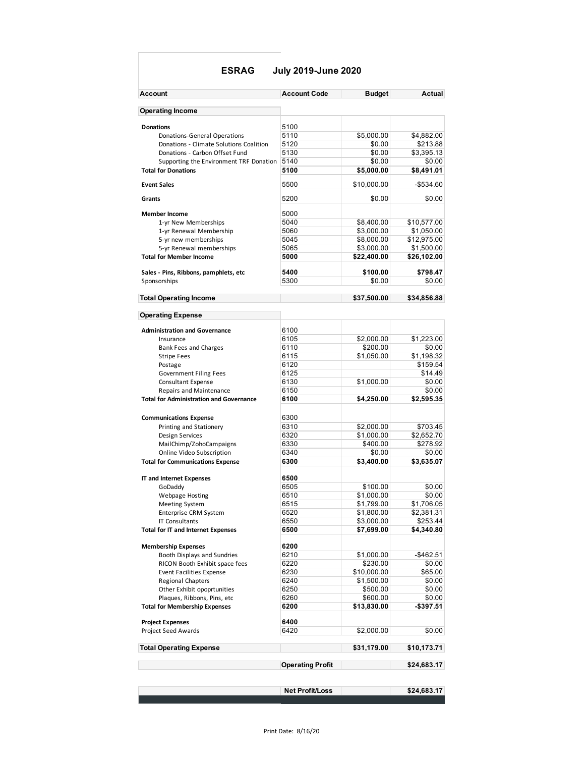#### **ESRAG July 2019-June 2020**

| Account                                           | <b>Account Code</b>     | <b>Budget</b> | Actual       |
|---------------------------------------------------|-------------------------|---------------|--------------|
| <b>Operating Income</b>                           |                         |               |              |
| <b>Donations</b>                                  | 5100                    |               |              |
| Donations-General Operations                      | 5110                    | \$5,000.00    | \$4,882.00   |
| Donations - Climate Solutions Coalition           | 5120                    | \$0.00        | \$213.88     |
| Donations - Carbon Offset Fund                    | 5130                    | \$0.00        | \$3.395.13   |
| Supporting the Environment TRF Donation           | 5140                    | \$0.00        | \$0.00       |
| <b>Total for Donations</b>                        | 5100                    | \$5,000.00    | \$8,491.01   |
| <b>Event Sales</b>                                | 5500                    | \$10,000.00   | $-$534.60$   |
| Grants                                            | 5200                    | \$0.00        | \$0.00       |
| <b>Member Income</b>                              | 5000                    |               |              |
| 1-yr New Memberships                              | 5040                    | \$8,400.00    | \$10,577.00  |
| 1-yr Renewal Membership                           | 5060                    | \$3,000.00    | \$1,050.00   |
| 5-yr new memberships                              | 5045                    | \$8,000.00    | \$12,975.00  |
| 5-yr Renewal memberships                          | 5065                    | \$3,000.00    | \$1,500.00   |
| <b>Total for Member Income</b>                    | 5000                    | \$22,400.00   | \$26,102.00  |
| Sales - Pins, Ribbons, pamphlets, etc             | 5400                    | \$100.00      | \$798.47     |
| Sponsorships                                      | 5300                    | \$0.00        | \$0.00       |
| <b>Total Operating Income</b>                     |                         | \$37,500.00   | \$34,856.88  |
| <b>Operating Expense</b>                          |                         |               |              |
| <b>Administration and Governance</b>              | 6100                    |               |              |
| Insurance                                         | 6105                    | \$2,000.00    | \$1,223.00   |
| <b>Bank Fees and Charges</b>                      | 6110                    | \$200.00      | \$0.00       |
| <b>Stripe Fees</b>                                | 6115                    | \$1,050.00    | \$1,198.32   |
| Postage                                           | 6120                    |               | \$159.54     |
| <b>Government Filing Fees</b>                     | 6125                    |               | \$14.49      |
| Consultant Expense                                | 6130                    | \$1,000.00    | \$0.00       |
| Repairs and Maintenance                           | 6150                    |               | \$0.00       |
| <b>Total for Administration and Governance</b>    | 6100                    | \$4,250.00    | \$2,595.35   |
|                                                   |                         |               |              |
| <b>Communications Expense</b>                     | 6300<br>6310            | \$2,000.00    | \$703.45     |
| Printing and Stationery<br><b>Design Services</b> | 6320                    | \$1,000.00    | \$2,652.70   |
| MailChimp/ZohoCampaigns                           | 6330                    | \$400.00      | \$278.92     |
| Online Video Subscription                         | 6340                    | \$0.00        | \$0.00       |
| <b>Total for Communications Expense</b>           | 6300                    | \$3,400.00    | \$3,635.07   |
|                                                   | 6500                    |               |              |
| IT and Internet Expenses<br>GoDaddy               | 6505                    | \$100.00      | \$0.00       |
| <b>Webpage Hosting</b>                            | 6510                    | \$1,000.00    | \$0.00       |
| <b>Meeting System</b>                             | 6515                    | \$1,799.00    | \$1,706.05   |
| <b>Enterprise CRM System</b>                      | 6520                    | \$1,800.00    | \$2,381.31   |
| <b>IT Consultants</b>                             | 6550                    | \$3,000.00    | \$253.44     |
| <b>Total for IT and Internet Expenses</b>         | 6500                    | \$7,699.00    | \$4,340.80   |
| <b>Membership Expenses</b>                        | 6200                    |               |              |
| Booth Displays and Sundries                       | 6210                    | \$1,000.00    | $-$ \$462.51 |
| RICON Booth Exhibit space fees                    | 6220                    | \$230.00      | \$0.00       |
| <b>Event Facilities Expense</b>                   | 6230                    | \$10,000.00   | \$65.00      |
| <b>Regional Chapters</b>                          | 6240                    | \$1,500.00    | \$0.00       |
| Other Exhibit opoprtunities                       | 6250                    | \$500.00      | \$0.00       |
| Plaques, Ribbons, Pins, etc                       | 6260                    | \$600.00      | \$0.00       |
| <b>Total for Membership Expenses</b>              | 6200                    | \$13,830.00   | -\$397.51    |
| <b>Project Expenses</b>                           | 6400                    |               |              |
| Project Seed Awards                               | 6420                    | \$2,000.00    | \$0.00       |
| <b>Total Operating Expense</b>                    |                         | \$31,179.00   | \$10,173.71  |
|                                                   | <b>Operating Profit</b> |               | \$24,683.17  |
|                                                   |                         |               |              |
|                                                   |                         |               |              |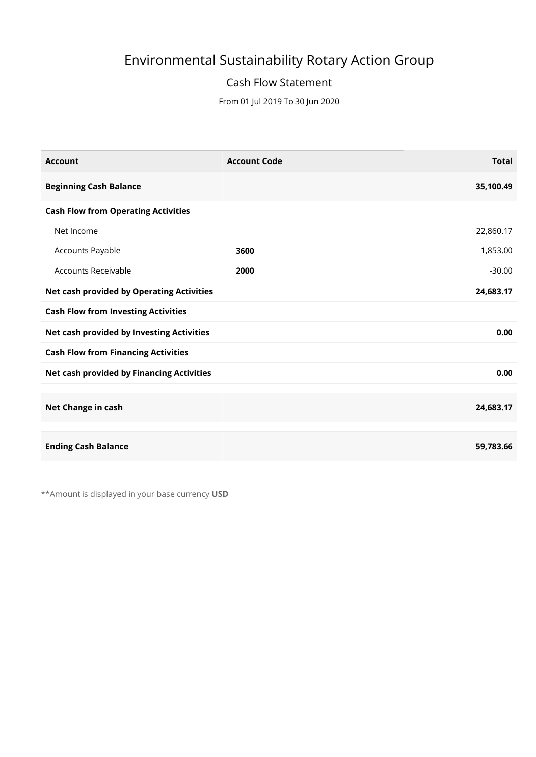# Environmental Sustainability Rotary Action Group

### Cash Flow Statement

From 01 Jul 2019 To 30 Jun 2020

| <b>Account</b>                             | <b>Account Code</b> | <b>Total</b> |
|--------------------------------------------|---------------------|--------------|
| <b>Beginning Cash Balance</b>              |                     | 35,100.49    |
| <b>Cash Flow from Operating Activities</b> |                     |              |
| Net Income                                 |                     | 22,860.17    |
| Accounts Payable                           | 3600                | 1,853.00     |
| Accounts Receivable                        | 2000                | $-30.00$     |
| Net cash provided by Operating Activities  |                     | 24,683.17    |
| <b>Cash Flow from Investing Activities</b> |                     |              |
| Net cash provided by Investing Activities  |                     | 0.00         |
| <b>Cash Flow from Financing Activities</b> |                     |              |
| Net cash provided by Financing Activities  |                     | 0.00         |
|                                            |                     |              |
| Net Change in cash                         |                     | 24,683.17    |
|                                            |                     |              |
| <b>Ending Cash Balance</b>                 |                     | 59,783.66    |

\*\* Amount is displayed in your base currency USD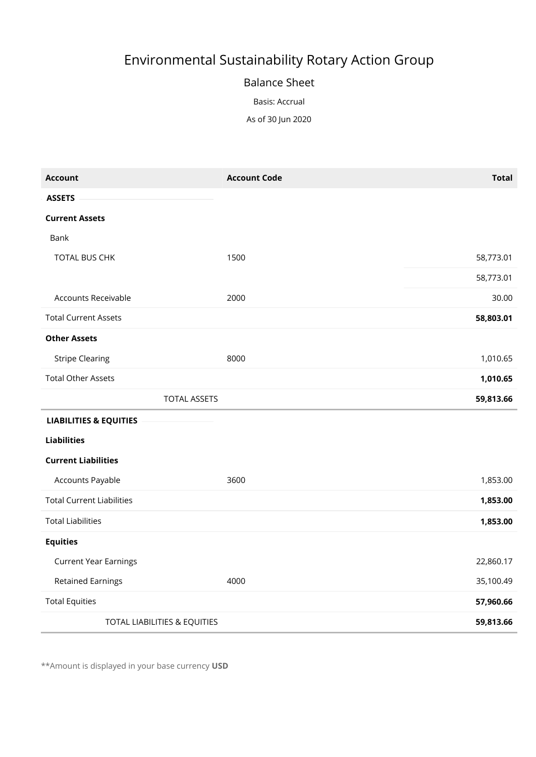# Environmental Sustainability Rotary Action Group

#### Balance Sheet

Basis: Accrual

As of 30 Jun 2020

| <b>Account</b>                    | <b>Account Code</b> | <b>Total</b> |
|-----------------------------------|---------------------|--------------|
| <b>ASSETS</b>                     |                     |              |
| <b>Current Assets</b>             |                     |              |
| Bank                              |                     |              |
| TOTAL BUS CHK                     | 1500                | 58,773.01    |
|                                   |                     | 58,773.01    |
| Accounts Receivable               | 2000                | 30.00        |
| <b>Total Current Assets</b>       |                     | 58,803.01    |
| <b>Other Assets</b>               |                     |              |
| <b>Stripe Clearing</b>            | 8000                | 1,010.65     |
| <b>Total Other Assets</b>         |                     | 1,010.65     |
| <b>TOTAL ASSETS</b>               |                     | 59,813.66    |
| <b>LIABILITIES &amp; EQUITIES</b> |                     |              |
| <b>Liabilities</b>                |                     |              |
| <b>Current Liabilities</b>        |                     |              |
| Accounts Payable                  | 3600                | 1,853.00     |
| <b>Total Current Liabilities</b>  |                     | 1,853.00     |
| <b>Total Liabilities</b>          |                     | 1,853.00     |
| <b>Equities</b>                   |                     |              |
| <b>Current Year Earnings</b>      |                     | 22,860.17    |
| <b>Retained Earnings</b>          | 4000                | 35,100.49    |
| <b>Total Equities</b>             |                     | 57,960.66    |
| TOTAL LIABILITIES & EQUITIES      |                     | 59,813.66    |

\*\* Amount is displayed in your base currency USD